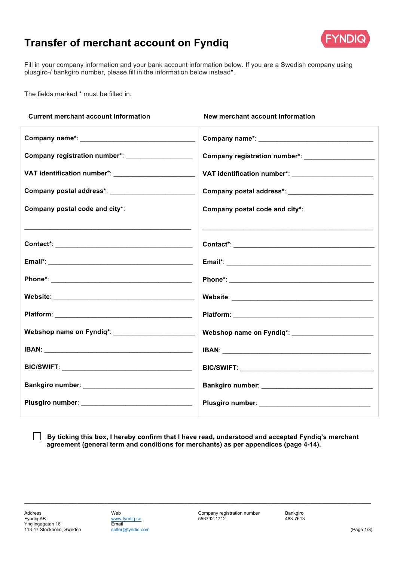## **Transfer of merchant account on Fyndiq**



Fill in your company information and your bank account information below. If you are a Swedish company using plusgiro-/ bankgiro number, please fill in the information below instead\*.

The fields marked \* must be filled in.

| <b>Current merchant account information</b>                                                                                                                                                                                    | New merchant account information                                                                                                                                                                                               |
|--------------------------------------------------------------------------------------------------------------------------------------------------------------------------------------------------------------------------------|--------------------------------------------------------------------------------------------------------------------------------------------------------------------------------------------------------------------------------|
|                                                                                                                                                                                                                                |                                                                                                                                                                                                                                |
| Company registration number*: ___________________                                                                                                                                                                              | Company registration number*: _______________________                                                                                                                                                                          |
| VAT identification number*: ________________________                                                                                                                                                                           | VAT identification number*: _________________________                                                                                                                                                                          |
|                                                                                                                                                                                                                                |                                                                                                                                                                                                                                |
| Company postal code and city*:                                                                                                                                                                                                 | Company postal code and city*:                                                                                                                                                                                                 |
|                                                                                                                                                                                                                                |                                                                                                                                                                                                                                |
|                                                                                                                                                                                                                                |                                                                                                                                                                                                                                |
|                                                                                                                                                                                                                                |                                                                                                                                                                                                                                |
|                                                                                                                                                                                                                                |                                                                                                                                                                                                                                |
|                                                                                                                                                                                                                                |                                                                                                                                                                                                                                |
|                                                                                                                                                                                                                                |                                                                                                                                                                                                                                |
| Webshop name on Fyndiq*: _______________________                                                                                                                                                                               | Webshop name on Fyndiq*: _______________________                                                                                                                                                                               |
|                                                                                                                                                                                                                                | IBAN: Experimental and the contract of the contract of the contract of the contract of the contract of the contract of the contract of the contract of the contract of the contract of the contract of the contract of the con |
| BIC/SWIFT: New York Street, New York Street, New York Street, New York Street, New York Street, New York Street, New York Street, New York Street, New York Street, New York Street, New York Street, New York Street, New Yor | BIC/SWIFT: And the contract of the contract of the contract of the contract of the contract of the contract of                                                                                                                 |
|                                                                                                                                                                                                                                |                                                                                                                                                                                                                                |
|                                                                                                                                                                                                                                |                                                                                                                                                                                                                                |
|                                                                                                                                                                                                                                |                                                                                                                                                                                                                                |

**By ticking this box, I hereby confirm that I have read, understood and accepted Fyndiq's merchant agreement (general term and conditions for merchants) as per appendices (page 4-14).**

*\_\_\_\_\_\_\_\_\_\_\_\_\_\_\_\_\_\_\_\_\_\_\_\_\_\_\_\_\_\_\_\_\_\_\_\_\_\_\_\_\_\_\_\_\_\_\_\_\_\_\_\_\_\_\_\_\_\_\_\_\_\_\_\_\_\_\_\_\_\_\_\_\_\_\_\_\_\_\_\_\_\_\_\_\_\_\_\_\_\_\_\_\_\_\_\_\_\_\_\_\_\_\_\_*

 $\perp$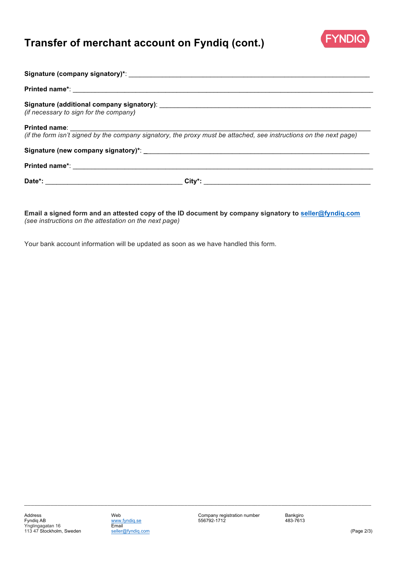# **Transfer of merchant account on Fyndiq (cont.)**



| (if necessary to sign for the company)                                                                             |  |
|--------------------------------------------------------------------------------------------------------------------|--|
| (if the form isn't signed by the company signatory, the proxy must be attached, see instructions on the next page) |  |
|                                                                                                                    |  |
|                                                                                                                    |  |
|                                                                                                                    |  |

**Email a signed form and an attested copy of the ID document by company signatory to seller@fyndiq.com** *(see instructions on the attestation on the next page)*

Your bank account information will be updated as soon as we have handled this form.

*\_\_\_\_\_\_\_\_\_\_\_\_\_\_\_\_\_\_\_\_\_\_\_\_\_\_\_\_\_\_\_\_\_\_\_\_\_\_\_\_\_\_\_\_\_\_\_\_\_\_\_\_\_\_\_\_\_\_\_\_\_\_\_\_\_\_\_\_\_\_\_\_\_\_\_\_\_\_\_\_\_\_\_\_\_\_\_\_\_\_\_\_\_\_\_\_\_\_\_\_\_\_\_\_*